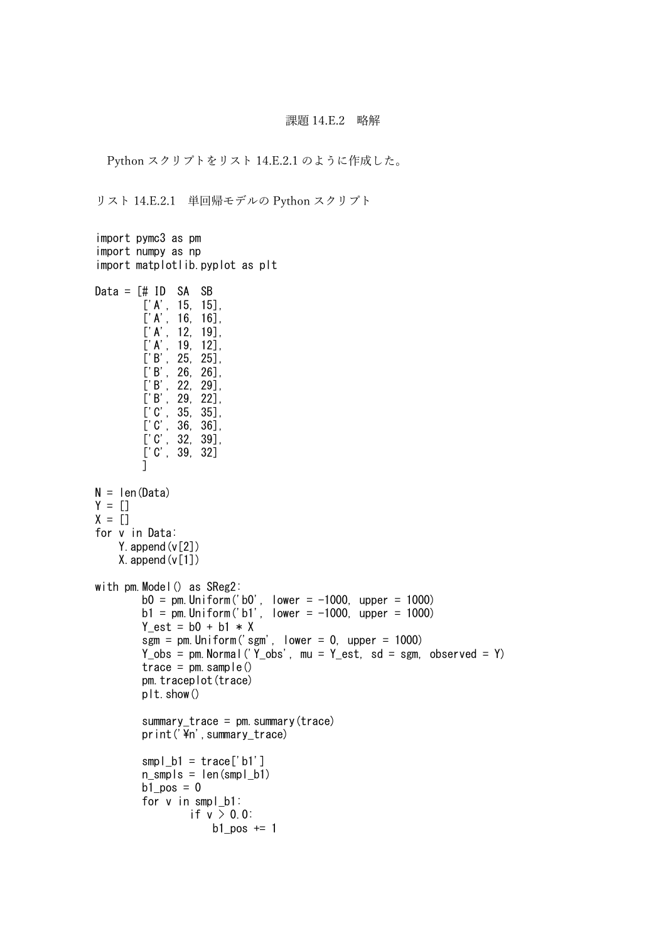## 課題 14.E.2 略解

Python スクリプトをリスト 14.E.2.1 のように作成した。

リスト 14.E.2.1 単回帰モデルの Python スクリプト

```
import pymc3 as pm
import numpy as np
import matplotlib.pyplot as plt
Data = \lceil \# \rceil ID SA SB
         ['A', 15, 15],
         ['A', 16, 16],
         ['A', 12, 19],['A', 19, 12],
         ['B', 25, 25],
         ['B', 26, 26],
         ['B', 22, 29],
         ['B', 29, 22],
         ['C', 35, 35],
         ['C', 36, 36],
         ['C', 32, 39],
         ['C', 39, 32]
         ]
N = len(Data)Y = []X = \overline{[]}for v in Data:
    Y. append (v[2])
    X. append (v[1])with pm.Model() as SReg2:
         b0 = pm. Uniform('b0', lower = -1000, upper = 1000)
         b1 = pm. Uniform('b1', lower = -1000, upper = 1000)
         Y est = b0 + b1 * Xsgm = pm. Uniform ('sgm', lower = 0, upper = 1000)Y_{obs} = pm. Normal ('Y_{obs}', mu = Y_{est}, sd = sgm, observed = Y)
         trace = pm. sample()
         pm.traceplot(trace)
         plt.show()
         summary trace = pm. summary (trace)
         print('\pm',summary_trace)
         smpl\_b1 = \text{trace}['b1']n_smpls = len(smpl_b1)
         b1_pos = 0
         for v in smpl_b1:
                 if v > 0.0:
                     b1_pos += 1
```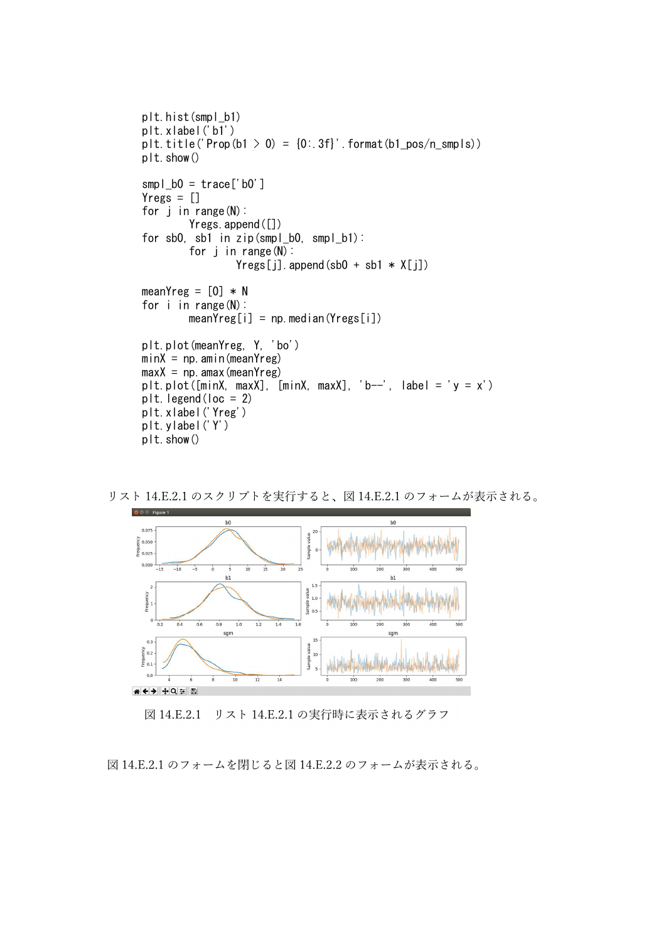```
plt.hist(smpl_b1)
plt.xlabel('b1')
plt.title('Prop(b1 > 0) = \{0: 3f\}'.format(b1 pos/n smpls))
plt.show()
smpl b0 = \text{trace}['b0']Yregs = []for j in range(N):
        Yregs.append([])
for sb0, sb1 in zip(smpl_b0, smpl_b1):
        for j in range(N):
                 Yres[i]. append(sb0 + sb1 * X[i])
meanYreg = [0] * N
for i in range(N):
        meanYreg[i] = np. median(Yregs[i])
plt.plot(meanYreg, Y, 'bo')
minX = np. amin(meanYreg)
maxX = np. amax (mean Yreg)
plt.plot([\text{minX}, \text{maxX}], [\text{minX}, \text{maxX}], 'b--', label = 'y = x')
plt. legend(loc = 2)
plt.xlabel('Yreg')
plt.ylabel('Y')
plt.show()
```


リスト 14.E.2.1 のスクリプトを実行すると、図 14.E.2.1 のフォームが表示される。

図 14.E.2.1 リスト 14.E.2.1 の実行時に表示されるグラフ

図 14.E.2.1 のフォームを閉じると図 14.E.2.2 のフォームが表示される。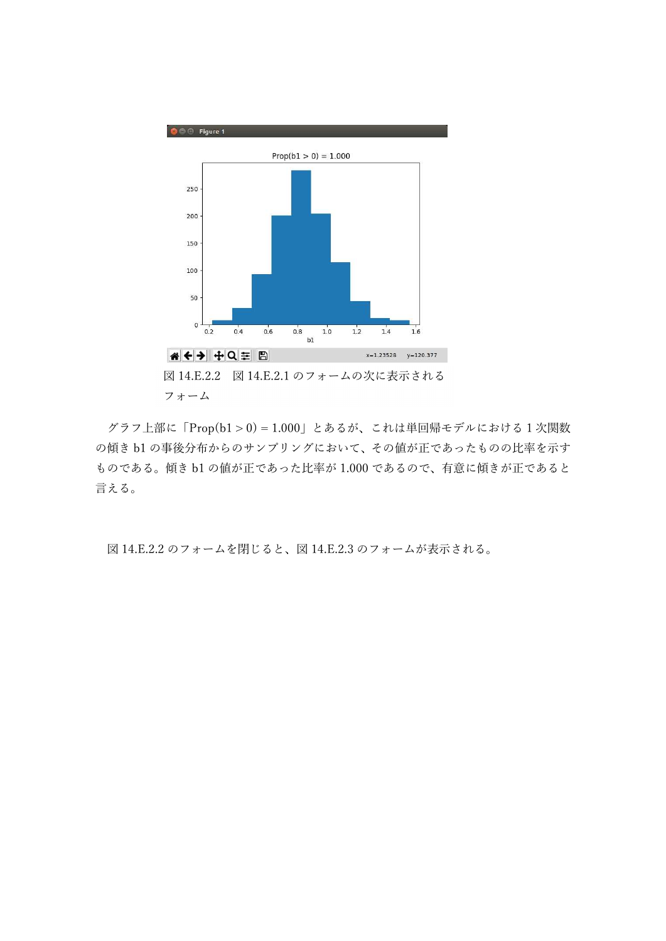

グラフ上部に「Prop(b1 > 0) = 1.000」とあるが、これは単回帰モデルにおける 1 次関数 の傾き b1 の事後分布からのサンプリングにおいて、その値が正であったものの比率を示す ものである。傾き b1 の値が正であった比率が 1.000 であるので、有意に傾きが正であると 言える。

図 14.E.2.2 のフォームを閉じると、図 14.E.2.3 のフォームが表示される。